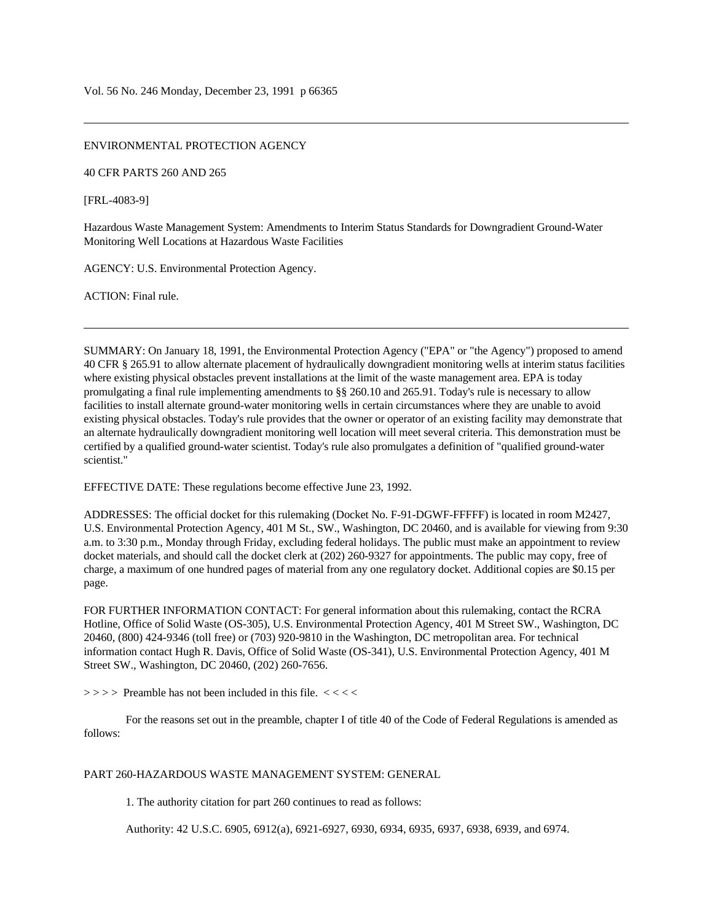## ENVIRONMENTAL PROTECTION AGENCY

40 CFR PARTS 260 AND 265

[FRL-4083-9]

Hazardous Waste Management System: Amendments to Interim Status Standards for Downgradient Ground-Water Monitoring Well Locations at Hazardous Waste Facilities

AGENCY: U.S. Environmental Protection Agency.

ACTION: Final rule.

SUMMARY: On January 18, 1991, the Environmental Protection Agency ("EPA" or "the Agency") proposed to amend 40 CFR § 265.91 to allow alternate placement of hydraulically downgradient monitoring wells at interim status facilities where existing physical obstacles prevent installations at the limit of the waste management area. EPA is today promulgating a final rule implementing amendments to §§ 260.10 and 265.91. Today's rule is necessary to allow facilities to install alternate ground-water monitoring wells in certain circumstances where they are unable to avoid existing physical obstacles. Today's rule provides that the owner or operator of an existing facility may demonstrate that an alternate hydraulically downgradient monitoring well location will meet several criteria. This demonstration must be certified by a qualified ground-water scientist. Today's rule also promulgates a definition of "qualified ground-water scientist."

EFFECTIVE DATE: These regulations become effective June 23, 1992.

ADDRESSES: The official docket for this rulemaking (Docket No. F-91-DGWF-FFFFF) is located in room M2427, U.S. Environmental Protection Agency, 401 M St., SW., Washington, DC 20460, and is available for viewing from 9:30 a.m. to 3:30 p.m., Monday through Friday, excluding federal holidays. The public must make an appointment to review docket materials, and should call the docket clerk at (202) 260-9327 for appointments. The public may copy, free of charge, a maximum of one hundred pages of material from any one regulatory docket. Additional copies are \$0.15 per page.

FOR FURTHER INFORMATION CONTACT: For general information about this rulemaking, contact the RCRA Hotline, Office of Solid Waste (OS-305), U.S. Environmental Protection Agency, 401 M Street SW., Washington, DC 20460, (800) 424-9346 (toll free) or (703) 920-9810 in the Washington, DC metropolitan area. For technical information contact Hugh R. Davis, Office of Solid Waste (OS-341), U.S. Environmental Protection Agency, 401 M Street SW., Washington, DC 20460, (202) 260-7656.

 $\Rightarrow$  > > > Preamble has not been included in this file.  $<<$ 

For the reasons set out in the preamble, chapter I of title 40 of the Code of Federal Regulations is amended as follows:

## PART 260-HAZARDOUS WASTE MANAGEMENT SYSTEM: GENERAL

1. The authority citation for part 260 continues to read as follows:

Authority: 42 U.S.C. 6905, 6912(a), 6921-6927, 6930, 6934, 6935, 6937, 6938, 6939, and 6974.